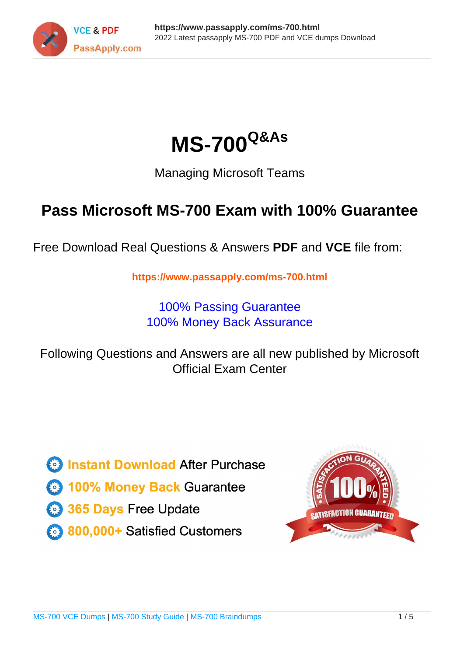



Managing Microsoft Teams

# **Pass Microsoft MS-700 Exam with 100% Guarantee**

Free Download Real Questions & Answers **PDF** and **VCE** file from:

**https://www.passapply.com/ms-700.html**

100% Passing Guarantee 100% Money Back Assurance

Following Questions and Answers are all new published by Microsoft Official Exam Center

**C** Instant Download After Purchase

**83 100% Money Back Guarantee** 

- 365 Days Free Update
- 800,000+ Satisfied Customers

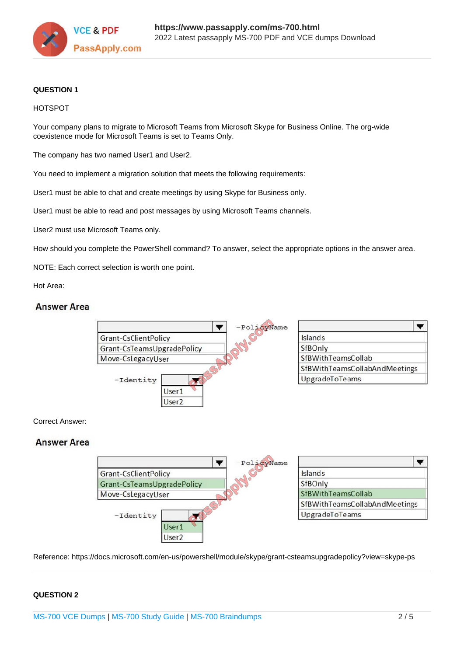

#### **QUESTION 1**

#### HOTSPOT

Your company plans to migrate to Microsoft Teams from Microsoft Skype for Business Online. The org-wide coexistence mode for Microsoft Teams is set to Teams Only.

The company has two named User1 and User2.

You need to implement a migration solution that meets the following requirements:

User1 must be able to chat and create meetings by using Skype for Business only.

User1 must be able to read and post messages by using Microsoft Teams channels.

User2 must use Microsoft Teams only.

How should you complete the PowerShell command? To answer, select the appropriate options in the answer area.

NOTE: Each correct selection is worth one point.

Hot Area:

### **Answer Area**



#### Correct Answer:

### **Answer Area**



Reference: https://docs.microsoft.com/en-us/powershell/module/skype/grant-csteamsupgradepolicy?view=skype-ps

#### **QUESTION 2**

[MS-700 VCE Dumps](https://www.passapply.com/ms-700.html) | [MS-700 Study Guide](https://www.passapply.com/ms-700.html) | [MS-700 Braindumps](https://www.passapply.com/ms-700.html) 2 / 5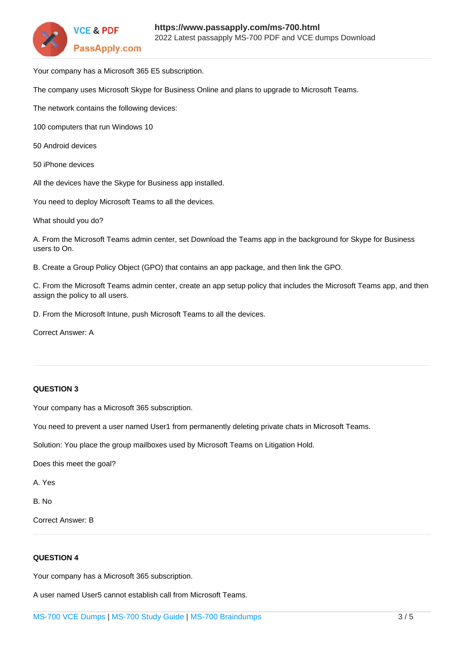

Your company has a Microsoft 365 E5 subscription.

The company uses Microsoft Skype for Business Online and plans to upgrade to Microsoft Teams.

The network contains the following devices:

100 computers that run Windows 10

- 50 Android devices
- 50 iPhone devices

All the devices have the Skype for Business app installed.

You need to deploy Microsoft Teams to all the devices.

What should you do?

A. From the Microsoft Teams admin center, set Download the Teams app in the background for Skype for Business users to On.

B. Create a Group Policy Object (GPO) that contains an app package, and then link the GPO.

C. From the Microsoft Teams admin center, create an app setup policy that includes the Microsoft Teams app, and then assign the policy to all users.

D. From the Microsoft Intune, push Microsoft Teams to all the devices.

Correct Answer: A

#### **QUESTION 3**

Your company has a Microsoft 365 subscription.

You need to prevent a user named User1 from permanently deleting private chats in Microsoft Teams.

Solution: You place the group mailboxes used by Microsoft Teams on Litigation Hold.

Does this meet the goal?

A. Yes

B. No

Correct Answer: B

#### **QUESTION 4**

Your company has a Microsoft 365 subscription.

A user named User5 cannot establish call from Microsoft Teams.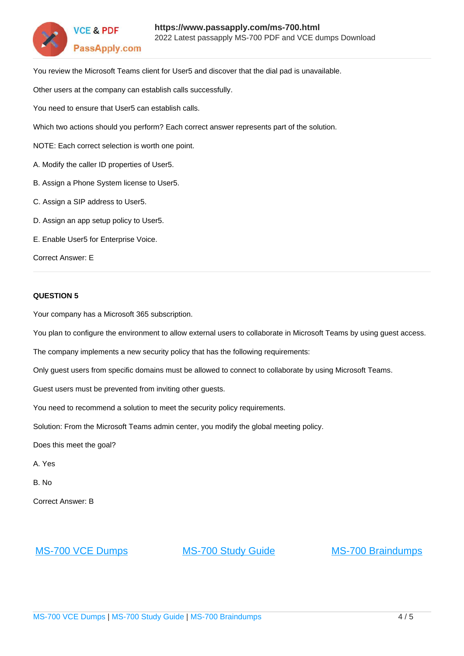

You review the Microsoft Teams client for User5 and discover that the dial pad is unavailable.

Other users at the company can establish calls successfully.

You need to ensure that User5 can establish calls.

Which two actions should you perform? Each correct answer represents part of the solution.

NOTE: Each correct selection is worth one point.

- A. Modify the caller ID properties of User5.
- B. Assign a Phone System license to User5.
- C. Assign a SIP address to User5.
- D. Assign an app setup policy to User5.

E. Enable User5 for Enterprise Voice.

Correct Answer: E

#### **QUESTION 5**

Your company has a Microsoft 365 subscription.

You plan to configure the environment to allow external users to collaborate in Microsoft Teams by using guest access.

The company implements a new security policy that has the following requirements:

Only guest users from specific domains must be allowed to connect to collaborate by using Microsoft Teams.

Guest users must be prevented from inviting other guests.

You need to recommend a solution to meet the security policy requirements.

Solution: From the Microsoft Teams admin center, you modify the global meeting policy.

Does this meet the goal?

A. Yes

B. No

Correct Answer: B

[MS-700 VCE Dumps](https://www.passapply.com/ms-700.html) [MS-700 Study Guide](https://www.passapply.com/ms-700.html) [MS-700 Braindumps](https://www.passapply.com/ms-700.html)